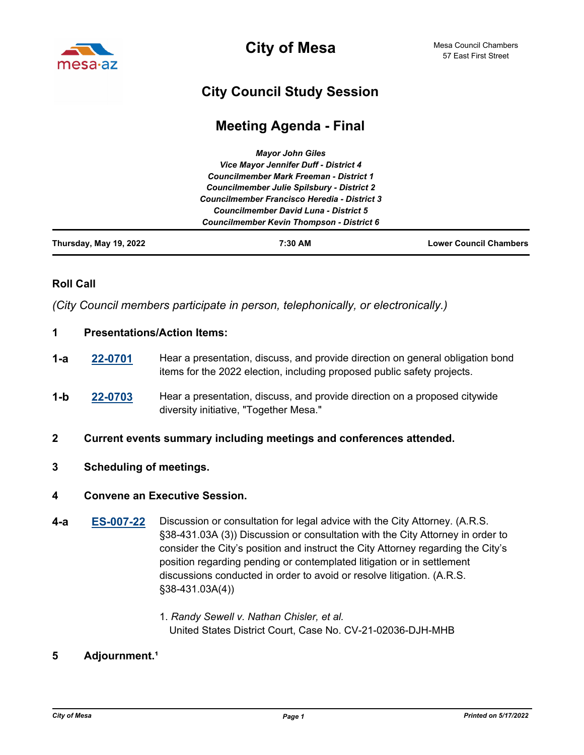

**City of Mesa**

# **City Council Study Session**

## **Meeting Agenda - Final**

|                        | <b>Mayor John Giles</b>                                                                                                                                                                                                                      |                               |
|------------------------|----------------------------------------------------------------------------------------------------------------------------------------------------------------------------------------------------------------------------------------------|-------------------------------|
|                        | Vice Mayor Jennifer Duff - District 4<br><b>Councilmember Mark Freeman - District 1</b><br><b>Councilmember Julie Spilsbury - District 2</b><br>Councilmember Francisco Heredia - District 3<br><b>Councilmember David Luna - District 5</b> |                               |
|                        |                                                                                                                                                                                                                                              |                               |
|                        |                                                                                                                                                                                                                                              |                               |
|                        |                                                                                                                                                                                                                                              |                               |
|                        |                                                                                                                                                                                                                                              |                               |
|                        | <b>Councilmember Kevin Thompson - District 6</b>                                                                                                                                                                                             |                               |
| Thursday, May 19, 2022 | 7:30 AM                                                                                                                                                                                                                                      | <b>Lower Council Chambers</b> |

## **Roll Call**

*(City Council members participate in person, telephonically, or electronically.)*

#### **1 Presentations/Action Items:**

- **[22-0701](http://mesa.legistar.com/gateway.aspx?m=l&id=/matter.aspx?key=18592)** Hear a presentation, discuss, and provide direction on general obligation bond items for the 2022 election, including proposed public safety projects. **1-a**
- **[22-0703](http://mesa.legistar.com/gateway.aspx?m=l&id=/matter.aspx?key=18594)** Hear a presentation, discuss, and provide direction on a proposed citywide diversity initiative, "Together Mesa." **1-b**
- **2 Current events summary including meetings and conferences attended.**
- **3 Scheduling of meetings.**

#### **4 Convene an Executive Session.**

- **[ES-007-22](http://mesa.legistar.com/gateway.aspx?m=l&id=/matter.aspx?key=18473)** Discussion or consultation for legal advice with the City Attorney. (A.R.S. §38-431.03A (3)) Discussion or consultation with the City Attorney in order to consider the City's position and instruct the City Attorney regarding the City's position regarding pending or contemplated litigation or in settlement discussions conducted in order to avoid or resolve litigation. (A.R.S. §38-431.03A(4)) **4-a**
	- 1. *Randy Sewell v. Nathan Chisler, et al.*  United States District Court, Case No. CV-21-02036-DJH-MHB

## 5 **Adjournment.**<sup>1</sup>